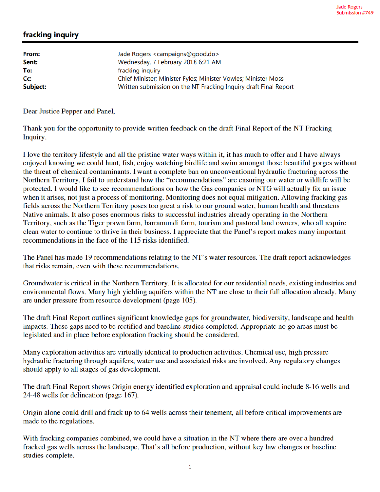## fracking inquiry

| From:<br>Sent: | Jade Rogers <campaigns@good.do><br/>Wednesday, 7 February 2018 6:21 AM</campaigns@good.do> |
|----------------|--------------------------------------------------------------------------------------------|
| To:            | fracking inquiry                                                                           |
| Cc:            | Chief Minister; Minister Fyles; Minister Vowles; Minister Moss                             |
| Subject:       | Written submission on the NT Fracking Inquiry draft Final Report                           |

Dear Justice Pepper and Panel,

Thank you for the opportunity to provide written feedback on the draft Final Report of the NT Fracking Inquiry.

I love the territory lifestyle and all the pristine water ways within it, it has much to offer and I have always enjoyed knowing we could hunt, fish, enjoy watching birdlife and swim amongst those beautiful gorges without the threat of chemical contaminants. I want a complete ban on unconventional hydraulic fracturing across the Northern Territory. I fail to understand how the "recommendations" are ensuring our water or wildlife will be protected. I would like to see recommendations on how the Gas companies or NTG will actually fix an issue when it arises, not just a process of monitoring. Monitoring does not equal mitigation. Allowing fracking gas fields across the Northern Territory poses too great a risk to our ground water, human health and threatens Native animals. It also poses enormous risks to successful industries already operating in the Northern Territory, such as the Tiger prawn farm, barramundi farm, tourism and pastoral land owners, who all require clean water to continue to thrive in their business. I appreciate that the Panel's report makes many important recommendations in the face of the 115 risks identified.

The Panel has made 19 recommendations relating to the NT's water resources. The draft report acknowledges that risks remain, even with these recommendations.

Groundwater is critical in the Northern Territory. It is allocated for our residential needs, existing industries and environmental flows. Many high yielding aquifers within the NT are close to their full allocation already. Many are under pressure from resource development (page 105).

The draft Final Report outlines significant knowledge gaps for groundwater, biodiversity, landscape and health impacts. These gaps need to be rectified and baseline studies completed. Appropriate no go areas must be legislated and in place before exploration fracking should be considered.

Many exploration activities are virtually identical to production activities. Chemical use, high pressure hydraulic fracturing through aquifers, water use and associated risks are involved. Any regulatory changes should apply to all stages of gas development.

The draft Final Report shows Origin energy identified exploration and appraisal could include 8-16 wells and 24-48 wells for delineation (page 167).

Origin alone could drill and frack up to 64 wells across their tenement, all before critical improvements are made to the regulations.

With fracking companies combined, we could have a situation in the NT where there are over a hundred fracked gas wells across the landscape. That's all before production, without key law changes or baseline studies complete.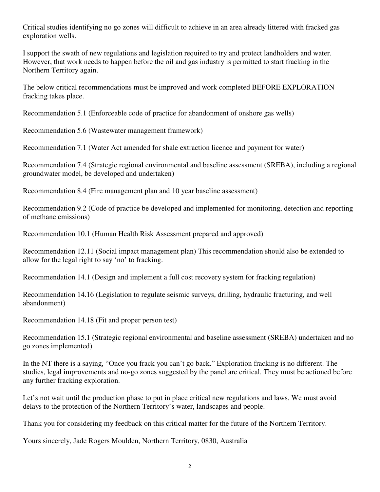Critical studies identifying no go zones will difficult to achieve in an area already littered with fracked gas exploration wells.

I support the swath of new regulations and legislation required to try and protect landholders and water. However, that work needs to happen before the oil and gas industry is permitted to start fracking in the Northern Territory again.

The below critical recommendations must be improved and work completed BEFORE EXPLORATION fracking takes place.

Recommendation 5.1 (Enforceable code of practice for abandonment of onshore gas wells)

Recommendation 5.6 (Wastewater management framework)

Recommendation 7.1 (Water Act amended for shale extraction licence and payment for water)

Recommendation 7.4 (Strategic regional environmental and baseline assessment (SREBA), including a regional groundwater model, be developed and undertaken)

Recommendation 8.4 (Fire management plan and 10 year baseline assessment)

Recommendation 9.2 (Code of practice be developed and implemented for monitoring, detection and reporting of methane emissions)

Recommendation 10.1 (Human Health Risk Assessment prepared and approved)

Recommendation 12.11 (Social impact management plan) This recommendation should also be extended to allow for the legal right to say 'no' to fracking.

Recommendation 14.1 (Design and implement a full cost recovery system for fracking regulation)

Recommendation 14.16 (Legislation to regulate seismic surveys, drilling, hydraulic fracturing, and well abandonment)

Recommendation 14.18 (Fit and proper person test)

Recommendation 15.1 (Strategic regional environmental and baseline assessment (SREBA) undertaken and no go zones implemented)

In the NT there is a saying, "Once you frack you can't go back." Exploration fracking is no different. The studies, legal improvements and no-go zones suggested by the panel are critical. They must be actioned before any further fracking exploration.

Let's not wait until the production phase to put in place critical new regulations and laws. We must avoid delays to the protection of the Northern Territory's water, landscapes and people.

Thank you for considering my feedback on this critical matter for the future of the Northern Territory.

Yours sincerely, Jade Rogers Moulden, Northern Territory, 0830, Australia